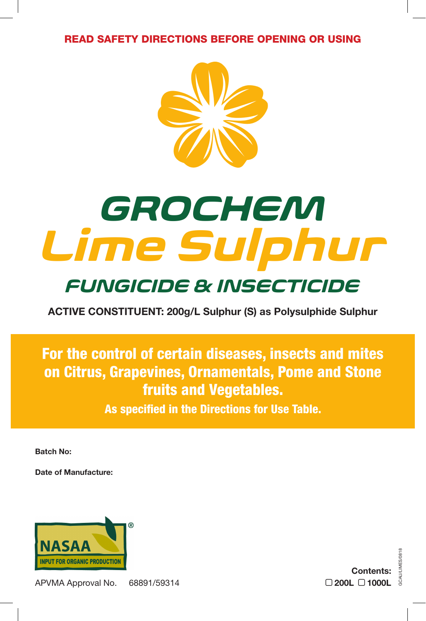READ SAFETY DIRECTIONS BEFORE OPENING OR USING



# *Lime Sulphur GROCHEM*

## *FUNGICIDE & INSECTICIDE*

**ACTIVE CONSTITUENT: 200g/L Sulphur (S) as Polysulphide Sulphur** 

For the control of certain diseases, insects and mites on Citrus, Grapevines, Ornamentals, Pome and Stone fruits and Vegetables.

As specified in the Directions for Use Table.

**Batch No:**

**Date of Manufacture:**



APVMA Approval No. 68891/59314

GCAU/LIMES/0818 **Contents: 200L 1000L**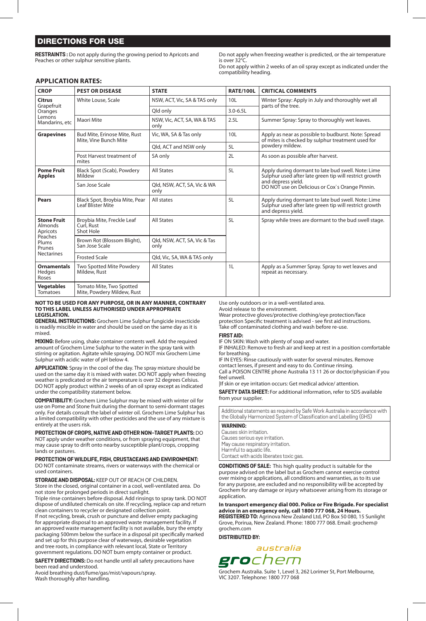### DIRECTIONS FOR USE

**RESTRAINTS :** Do not apply during the growing period to Apricots and Peaches or other sulphur sensitive plants.

Do not apply when freezing weather is predicted, or the air temperature is over 32°C.

Do not apply within 2 weeks of an oil spray except as indicated under the compatibility heading.

#### **APPLICATION RATES:**

| <b>CROP</b>                                                                                         | <b>PEST OR DISEASE</b>                                 | <b>STATE</b>                         | <b>RATE/100L</b> | <b>CRITICAL COMMENTS</b>                                                                                                                                                              |
|-----------------------------------------------------------------------------------------------------|--------------------------------------------------------|--------------------------------------|------------------|---------------------------------------------------------------------------------------------------------------------------------------------------------------------------------------|
| Citrus<br>Grapefruit<br>Oranges<br>Lemons<br>Mandarins, etc                                         | White Louse, Scale                                     | NSW, ACT, Vic, SA & TAS only         | 10 <sub>L</sub>  | Winter Spray: Apply in July and thoroughly wet all<br>parts of the tree.                                                                                                              |
|                                                                                                     |                                                        | Old only                             | $3.0 - 6.5$ L    |                                                                                                                                                                                       |
|                                                                                                     | Maori Mite                                             | NSW, Vic, ACT, SA, WA & TAS<br>only  | 2.5L             | Summer Spray: Spray to thoroughly wet leaves.                                                                                                                                         |
| <b>Grapevines</b>                                                                                   | Bud Mite, Erinose Mite, Rust<br>Mite, Vine Bunch Mite  | Vic, WA, SA & Tas only               | 10 <sub>L</sub>  | Apply as near as possible to budburst. Note: Spread<br>of mites is checked by sulphur treatment used for<br>powdery mildew.                                                           |
|                                                                                                     |                                                        | Qld, ACT and NSW only                | 5L               |                                                                                                                                                                                       |
|                                                                                                     | Post Harvest treatment of<br>mites                     | SA only                              | 2L               | As soon as possible after harvest.                                                                                                                                                    |
| <b>Pome Fruit</b><br><b>Apples</b>                                                                  | Black Spot (Scab), Powdery<br>Mildew                   | <b>All States</b>                    | 5L               | Apply during dormant to late bud swell. Note: Lime<br>Sulphur used after late green tip will restrict growth<br>and depress yield.<br>DO NOT use on Delicious or Cox's Orange Pinnin. |
|                                                                                                     | San Jose Scale                                         | Qld, NSW, ACT, SA, Vic & WA<br>only  |                  |                                                                                                                                                                                       |
| Pears                                                                                               | Black Spot, Broybia Mite, Pear<br>Leaf Blister Mite    | All states                           | 5L               | Apply during dormant to late bud swell. Note: Lime<br>Sulphur used after late green tip will restrict growth<br>and depress yield.                                                    |
| <b>Stone Fruit</b><br><b>Almonds</b><br>Apricots<br>Peaches<br>Plums<br>Prunes<br><b>Nectarines</b> | Broybia Mite, Freckle Leaf<br>Curl, Rust<br>Shot Hole  | <b>All States</b>                    | 5L               | Spray while trees are dormant to the bud swell stage.                                                                                                                                 |
|                                                                                                     | Brown Rot (Blossom Blight),<br>San Jose Scale          | Qld, NSW, ACT, SA, Vic & Tas<br>only |                  |                                                                                                                                                                                       |
|                                                                                                     | <b>Frosted Scale</b>                                   | Qld, Vic, SA, WA & TAS only          |                  |                                                                                                                                                                                       |
| <b>Ornamentals</b><br>Hedges<br>Roses                                                               | Two Spotted Mite Powdery<br>Mildew, Rust               | <b>All States</b>                    | 1L               | Apply as a Summer Spray. Spray to wet leaves and<br>repeat as necessary.                                                                                                              |
| Vegetables<br>Tomatoes                                                                              | Tomato Mite, Two Spotted<br>Mite, Powdery Mildew, Rust |                                      |                  |                                                                                                                                                                                       |

#### **NOT TO BE USED FOR ANY PURPOSE, OR IN ANY MANNER, CONTRARY TO THIS LABEL UNLESS AUTHORISED UNDER APPROPRIATE LEGISLATION.**

**GENERAL INSTRUCTIONS:** Grochem Lime Sulphur fungicide insecticide is readily miscible in water and should be used on the same day as it is mixed.

**MIXING:** Before using, shake container contents well. Add the required amount of Grochem Lime Sulphur to the water in the spray tank with stirring or agitation. Agitate while spraying. DO NOT mix Grochem Lime Sulphur with acidic water of pH below 4.

**APPLICATION:** Spray in the cool of the day. The spray mixture should be used on the same day it is mixed with water. DO NOT apply when freezing weather is predicated or the air temperature is over 32 degrees Celsius. DO NOT apply product within 2 weeks of an oil spray except as indicated under the compatibility statement below.

**COMPATIBILITY:** Grochem Lime Sulphur may be mixed with winter oil for use on Pome and Stone fruit during the dormant to semi-dormant stages only. For details consult the label of winter oil. Grochem Lime Sulphur has a limited compatibility with other pesticides and the use of any mixture is entirely at the users risk.

**PROTECTION OF CROPS, NATIVE AND OTHER NON-TARGET PLANTS:** DO NOT apply under weather conditions, or from spraying equipment, that

may cause spray to drift onto nearby susceptible plant/crops, cropping lands or pastures.

**PROTECTION OF WILDLIFE, FISH, CRUSTACEANS AND ENVIRONMENT:**  DO NOT contaminate streams, rivers or waterways with the chemical or used containers.

**STORAGE AND DISPOSAL:** KEEP OUT OF REACH OF CHILDREN.

Store in the closed, original container in a cool, well-ventilated area. Do not store for prolonged periods in direct sunlight.

Triple rinse containers before disposal. Add rinsings to spray tank. DO NOT dispose of undiluted chemicals on site. If recycling, replace cap and return clean containers to recycler or designated collection point.

If not recycling, break, crush or puncture and deliver empty packaging for appropriate disposal to an approved waste management facility. If an approved waste management facility is not available, bury the empty packaging 500mm below the surface in a disposal pit specifically marked and set up for this purpose clear of waterways, desirable vegetation and tree roots, in compliance with relevant local, State or Territory government regulations. DO NOT burn empty container or product.

**SAFETY DIRECTIONS:** Do not handle until all safety precautions have been read and understood.

Avoid breathing dust/fume/gas/mist/vapours/spray. Wash thoroughly after handling.

Use only outdoors or in a well-ventilated area.

Avoid release to the environment. Wear protective gloves/protective clothing/eye protection/face

protection Specific treatment is advised - see first aid instructions. Take off contaminated clothing and wash before re-use.

**FIRST AID:**

IF ON SKIN: Wash with plenty of soap and water.

IF INHALED: Remove to fresh air and keep at rest in a position comfortable for breathing.

IF IN EYES: Rinse cautiously with water for several minutes. Remove

contact lenses, if present and easy to do. Continue rinsing. Call a POISON CENTRE phone Australia 13 11 26 or doctor/physician if you feel unwell.

|If skin or eye irritation occurs: Get medical advice/ attention.

**SAFETY DATA SHEET:** For additional information, refer to SDS available from your supplier.

Additional statements as required by Safe Work Australia in accordance with the Globally Harmonized System of Classification and Labelling (GHS)

#### **WARNING:**

Causes skin irritation. Causes serious eye irritation. May cause respiratory irritation. Harmful to aquatic life. Contact with acids liberates toxic gas.

**CONDITIONS OF SALE:** This high quality product is suitable for the purpose advised on the label but as Grochem cannot exercise control over mixing or applications, all conditions and warranties, as to its use for any purpose, are excluded and no responsibility will be accepted by Grochem for any damage or injury whatsoever arising from its storage or application.

**In transport emergency dial 000. Police or Fire Brigade. For specialist advice in an emergency only, call 1800 777 068, 24 Hours.**

**REGISTERED TO:** Agrinova New Zealand Ltd, PO Box 50 080, 15 Sunlight<br>Grove, Porirua, New Zealand. Phone: 1800 777 068. Email: grochem@ grochem.com

**DISTRIBUTED BY:** 



Grochem Australia. Suite 1, Level 3, 262 Lorimer St, Port Melbourne, VIC 3207. Telephone: 1800 777 068